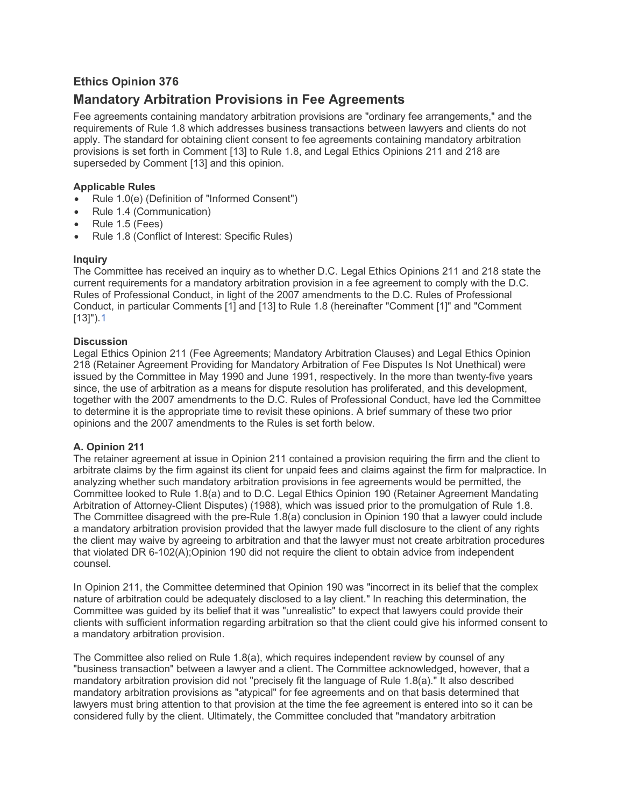# **Ethics Opinion 376**

# **Mandatory Arbitration Provisions in Fee Agreements**

Fee agreements containing mandatory arbitration provisions are "ordinary fee arrangements," and the requirements of Rule 1.8 which addresses business transactions between lawyers and clients do not apply. The standard for obtaining client consent to fee agreements containing mandatory arbitration provisions is set forth in Comment [13] to Rule 1.8, and Legal Ethics Opinions 211 and 218 are superseded by Comment [13] and this opinion.

#### **Applicable Rules**

- Rule 1.0(e) (Definition of "Informed Consent")
- Rule 1.4 (Communication)
- Rule 1.5 (Fees)
- Rule 1.8 (Conflict of Interest: Specific Rules)

# **Inquiry**

The Committee has received an inquiry as to whether D.C. Legal Ethics Opinions 211 and 218 state the current requirements for a mandatory arbitration provision in a fee agreement to comply with the D.C. Rules of Professional Conduct, in light of the 2007 amendments to the D.C. Rules of Professional Conduct, in particular Comments [1] and [13] to Rule 1.8 (hereinafter "Comment [1]" and "Comment [13]").[1](#page-3-0)

# **Discussion**

Legal Ethics Opinion 211 (Fee Agreements; Mandatory Arbitration Clauses) and Legal Ethics Opinion 218 (Retainer Agreement Providing for Mandatory Arbitration of Fee Disputes Is Not Unethical) were issued by the Committee in May 1990 and June 1991, respectively. In the more than twenty-five years since, the use of arbitration as a means for dispute resolution has proliferated, and this development, together with the 2007 amendments to the D.C. Rules of Professional Conduct, have led the Committee to determine it is the appropriate time to revisit these opinions. A brief summary of these two prior opinions and the 2007 amendments to the Rules is set forth below.

# **A. Opinion 211**

The retainer agreement at issue in Opinion 211 contained a provision requiring the firm and the client to arbitrate claims by the firm against its client for unpaid fees and claims against the firm for malpractice. In analyzing whether such mandatory arbitration provisions in fee agreements would be permitted, the Committee looked to Rule 1.8(a) and to D.C. Legal Ethics Opinion 190 (Retainer Agreement Mandating Arbitration of Attorney-Client Disputes) (1988), which was issued prior to the promulgation of Rule 1.8. The Committee disagreed with the pre-Rule 1.8(a) conclusion in Opinion 190 that a lawyer could include a mandatory arbitration provision provided that the lawyer made full disclosure to the client of any rights the client may waive by agreeing to arbitration and that the lawyer must not create arbitration procedures that violated DR 6-102(A);Opinion 190 did not require the client to obtain advice from independent counsel.

In Opinion 211, the Committee determined that Opinion 190 was "incorrect in its belief that the complex nature of arbitration could be adequately disclosed to a lay client." In reaching this determination, the Committee was guided by its belief that it was "unrealistic" to expect that lawyers could provide their clients with sufficient information regarding arbitration so that the client could give his informed consent to a mandatory arbitration provision.

The Committee also relied on Rule 1.8(a), which requires independent review by counsel of any "business transaction" between a lawyer and a client. The Committee acknowledged, however, that a mandatory arbitration provision did not "precisely fit the language of Rule 1.8(a)." It also described mandatory arbitration provisions as "atypical" for fee agreements and on that basis determined that lawyers must bring attention to that provision at the time the fee agreement is entered into so it can be considered fully by the client. Ultimately, the Committee concluded that "mandatory arbitration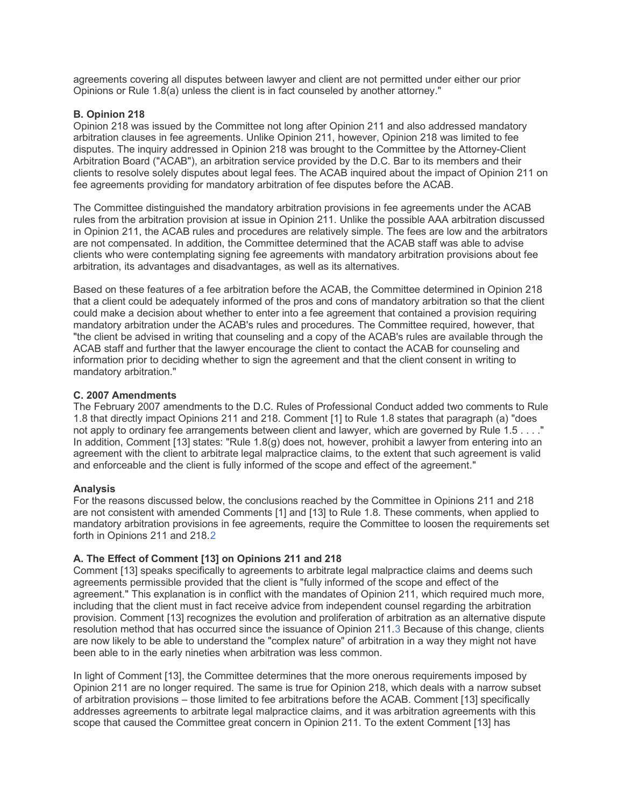agreements covering all disputes between lawyer and client are not permitted under either our prior Opinions or Rule 1.8(a) unless the client is in fact counseled by another attorney."

#### **B. Opinion 218**

Opinion 218 was issued by the Committee not long after Opinion 211 and also addressed mandatory arbitration clauses in fee agreements. Unlike Opinion 211, however, Opinion 218 was limited to fee disputes. The inquiry addressed in Opinion 218 was brought to the Committee by the Attorney-Client Arbitration Board ("ACAB"), an arbitration service provided by the D.C. Bar to its members and their clients to resolve solely disputes about legal fees. The ACAB inquired about the impact of Opinion 211 on fee agreements providing for mandatory arbitration of fee disputes before the ACAB.

The Committee distinguished the mandatory arbitration provisions in fee agreements under the ACAB rules from the arbitration provision at issue in Opinion 211. Unlike the possible AAA arbitration discussed in Opinion 211, the ACAB rules and procedures are relatively simple. The fees are low and the arbitrators are not compensated. In addition, the Committee determined that the ACAB staff was able to advise clients who were contemplating signing fee agreements with mandatory arbitration provisions about fee arbitration, its advantages and disadvantages, as well as its alternatives.

Based on these features of a fee arbitration before the ACAB, the Committee determined in Opinion 218 that a client could be adequately informed of the pros and cons of mandatory arbitration so that the client could make a decision about whether to enter into a fee agreement that contained a provision requiring mandatory arbitration under the ACAB's rules and procedures. The Committee required, however, that "the client be advised in writing that counseling and a copy of the ACAB's rules are available through the ACAB staff and further that the lawyer encourage the client to contact the ACAB for counseling and information prior to deciding whether to sign the agreement and that the client consent in writing to mandatory arbitration."

#### **C. 2007 Amendments**

The February 2007 amendments to the D.C. Rules of Professional Conduct added two comments to Rule 1.8 that directly impact Opinions 211 and 218. Comment [1] to Rule 1.8 states that paragraph (a) "does not apply to ordinary fee arrangements between client and lawyer, which are governed by Rule 1.5 . . . ." In addition, Comment [13] states: "Rule 1.8(g) does not, however, prohibit a lawyer from entering into an agreement with the client to arbitrate legal malpractice claims, to the extent that such agreement is valid and enforceable and the client is fully informed of the scope and effect of the agreement."

#### **Analysis**

For the reasons discussed below, the conclusions reached by the Committee in Opinions 211 and 218 are not consistent with amended Comments [1] and [13] to Rule 1.8. These comments, when applied to mandatory arbitration provisions in fee agreements, require the Committee to loosen the requirements set forth in Opinions 211 and 218.[2](#page-4-0) 

# **A. The Effect of Comment [13] on Opinions 211 and 218**

Comment [13] speaks specifically to agreements to arbitrate legal malpractice claims and deems such agreements permissible provided that the client is "fully informed of the scope and effect of the agreement." This explanation is in conflict with the mandates of Opinion 211, which required much more, including that the client must in fact receive advice from independent counsel regarding the arbitration provision. Comment [13] recognizes the evolution and proliferation of arbitration as an alternative dispute resolution method that has occurred since the issuance of Opinion 211.[3](#page-4-1) Because of this change, clients are now likely to be able to understand the "complex nature" of arbitration in a way they might not have been able to in the early nineties when arbitration was less common.

In light of Comment [13], the Committee determines that the more onerous requirements imposed by Opinion 211 are no longer required. The same is true for Opinion 218, which deals with a narrow subset of arbitration provisions – those limited to fee arbitrations before the ACAB. Comment [13] specifically addresses agreements to arbitrate legal malpractice claims, and it was arbitration agreements with this scope that caused the Committee great concern in Opinion 211. To the extent Comment [13] has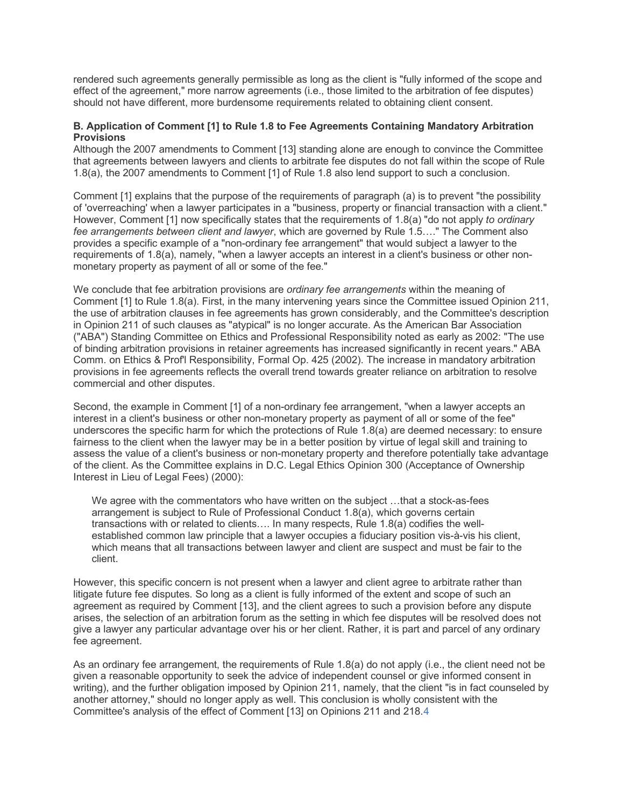rendered such agreements generally permissible as long as the client is "fully informed of the scope and effect of the agreement," more narrow agreements (i.e., those limited to the arbitration of fee disputes) should not have different, more burdensome requirements related to obtaining client consent.

#### **B. Application of Comment [1] to Rule 1.8 to Fee Agreements Containing Mandatory Arbitration Provisions**

Although the 2007 amendments to Comment [13] standing alone are enough to convince the Committee that agreements between lawyers and clients to arbitrate fee disputes do not fall within the scope of Rule 1.8(a), the 2007 amendments to Comment [1] of Rule 1.8 also lend support to such a conclusion.

Comment [1] explains that the purpose of the requirements of paragraph (a) is to prevent "the possibility of 'overreaching' when a lawyer participates in a "business, property or financial transaction with a client." However, Comment [1] now specifically states that the requirements of 1.8(a) "do not apply *to ordinary fee arrangements between client and lawyer*, which are governed by Rule 1.5…." The Comment also provides a specific example of a "non-ordinary fee arrangement" that would subject a lawyer to the requirements of 1.8(a), namely, "when a lawyer accepts an interest in a client's business or other nonmonetary property as payment of all or some of the fee."

We conclude that fee arbitration provisions are *ordinary fee arrangements* within the meaning of Comment [1] to Rule 1.8(a). First, in the many intervening years since the Committee issued Opinion 211, the use of arbitration clauses in fee agreements has grown considerably, and the Committee's description in Opinion 211 of such clauses as "atypical" is no longer accurate. As the American Bar Association ("ABA") Standing Committee on Ethics and Professional Responsibility noted as early as 2002: "The use of binding arbitration provisions in retainer agreements has increased significantly in recent years." ABA Comm. on Ethics & Prof'l Responsibility, Formal Op. 425 (2002). The increase in mandatory arbitration provisions in fee agreements reflects the overall trend towards greater reliance on arbitration to resolve commercial and other disputes.

Second, the example in Comment [1] of a non-ordinary fee arrangement, "when a lawyer accepts an interest in a client's business or other non-monetary property as payment of all or some of the fee" underscores the specific harm for which the protections of Rule 1.8(a) are deemed necessary: to ensure fairness to the client when the lawyer may be in a better position by virtue of legal skill and training to assess the value of a client's business or non-monetary property and therefore potentially take advantage of the client. As the Committee explains in D.C. Legal Ethics Opinion 300 (Acceptance of Ownership Interest in Lieu of Legal Fees) (2000):

We agree with the commentators who have written on the subject …that a stock-as-fees arrangement is subject to Rule of Professional Conduct 1.8(a), which governs certain transactions with or related to clients…. In many respects, Rule 1.8(a) codifies the wellestablished common law principle that a lawyer occupies a fiduciary position vis-à-vis his client, which means that all transactions between lawyer and client are suspect and must be fair to the client.

However, this specific concern is not present when a lawyer and client agree to arbitrate rather than litigate future fee disputes. So long as a client is fully informed of the extent and scope of such an agreement as required by Comment [13], and the client agrees to such a provision before any dispute arises, the selection of an arbitration forum as the setting in which fee disputes will be resolved does not give a lawyer any particular advantage over his or her client. Rather, it is part and parcel of any ordinary fee agreement.

As an ordinary fee arrangement, the requirements of Rule 1.8(a) do not apply (i.e., the client need not be given a reasonable opportunity to seek the advice of independent counsel or give informed consent in writing), and the further obligation imposed by Opinion 211, namely, that the client "is in fact counseled by another attorney," should no longer apply as well. This conclusion is wholly consistent with the Committee's analysis of the effect of Comment [13] on Opinions 211 and 218.[4](#page-4-2)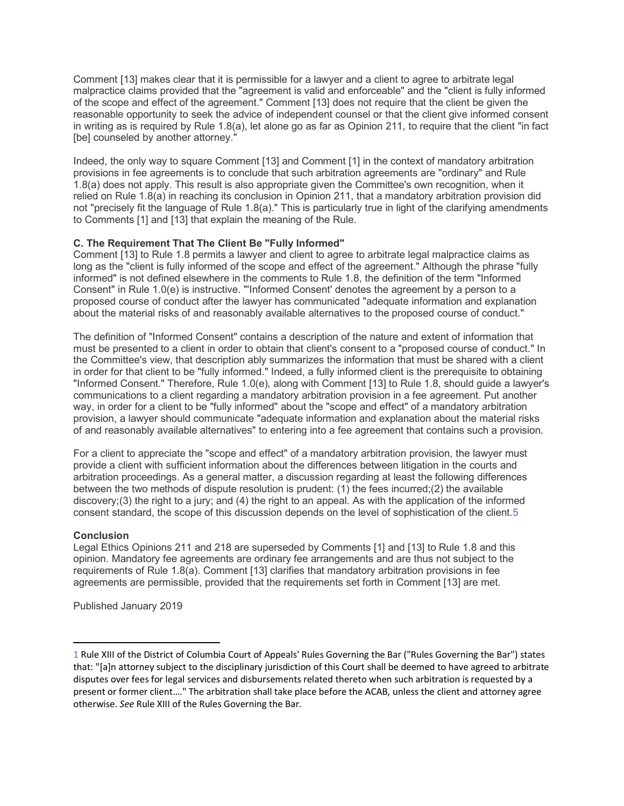Comment [13] makes clear that it is permissible for a lawyer and a client to agree to arbitrate legal malpractice claims provided that the "agreement is valid and enforceable" and the "client is fully informed of the scope and effect of the agreement." Comment [13] does not require that the client be given the reasonable opportunity to seek the advice of independent counsel or that the client give informed consent in writing as is required by Rule 1.8(a), let alone go as far as Opinion 211, to require that the client "in fact [be] counseled by another attorney."

Indeed, the only way to square Comment [13] and Comment [1] in the context of mandatory arbitration provisions in fee agreements is to conclude that such arbitration agreements are "ordinary" and Rule 1.8(a) does not apply. This result is also appropriate given the Committee's own recognition, when it relied on Rule 1.8(a) in reaching its conclusion in Opinion 211, that a mandatory arbitration provision did not "precisely fit the language of Rule 1.8(a)." This is particularly true in light of the clarifying amendments to Comments [1] and [13] that explain the meaning of the Rule.

# **C. The Requirement That The Client Be "Fully Informed"**

Comment [13] to Rule 1.8 permits a lawyer and client to agree to arbitrate legal malpractice claims as long as the "client is fully informed of the scope and effect of the agreement." Although the phrase "fully informed" is not defined elsewhere in the comments to Rule 1.8, the definition of the term "Informed Consent" in Rule 1.0(e) is instructive. "'Informed Consent' denotes the agreement by a person to a proposed course of conduct after the lawyer has communicated "adequate information and explanation about the material risks of and reasonably available alternatives to the proposed course of conduct."

The definition of "Informed Consent" contains a description of the nature and extent of information that must be presented to a client in order to obtain that client's consent to a "proposed course of conduct." In the Committee's view, that description ably summarizes the information that must be shared with a client in order for that client to be "fully informed." Indeed, a fully informed client is the prerequisite to obtaining "Informed Consent." Therefore, Rule 1.0(e), along with Comment [13] to Rule 1.8, should guide a lawyer's communications to a client regarding a mandatory arbitration provision in a fee agreement. Put another way, in order for a client to be "fully informed" about the "scope and effect" of a mandatory arbitration provision, a lawyer should communicate "adequate information and explanation about the material risks of and reasonably available alternatives" to entering into a fee agreement that contains such a provision.

For a client to appreciate the "scope and effect" of a mandatory arbitration provision, the lawyer must provide a client with sufficient information about the differences between litigation in the courts and arbitration proceedings. As a general matter, a discussion regarding at least the following differences between the two methods of dispute resolution is prudent: (1) the fees incurred;(2) the available discovery;(3) the right to a jury; and (4) the right to an appeal. As with the application of the informed consent standard, the scope of this discussion depends on the level of sophistication of the client[.5](#page-4-3)

# **Conclusion**

Legal Ethics Opinions 211 and 218 are superseded by Comments [1] and [13] to Rule 1.8 and this opinion. Mandatory fee agreements are ordinary fee arrangements and are thus not subject to the requirements of Rule 1.8(a). Comment [13] clarifies that mandatory arbitration provisions in fee agreements are permissible, provided that the requirements set forth in Comment [13] are met.

Published January 2019

<span id="page-3-0"></span><sup>1</sup> Rule XIII of the District of Columbia Court of Appeals' Rules Governing the Bar ("Rules Governing the Bar") states that: "[a]n attorney subject to the disciplinary jurisdiction of this Court shall be deemed to have agreed to arbitrate disputes over fees for legal services and disbursements related thereto when such arbitration is requested by a present or former client…." The arbitration shall take place before the ACAB, unless the client and attorney agree otherwise. *See* Rule XIII of the Rules Governing the Bar.